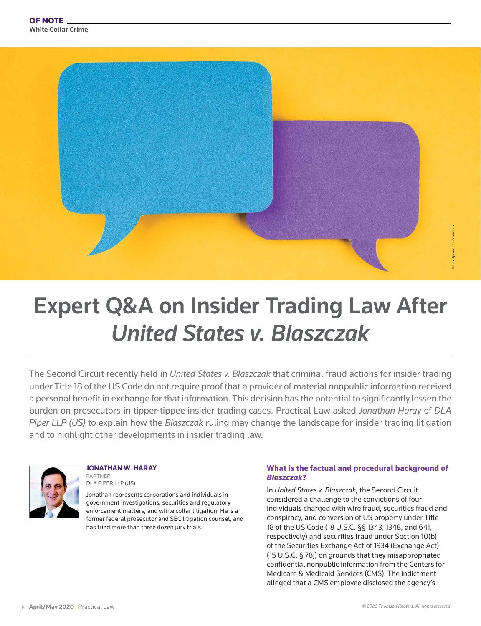

# Expert Q&A on Insider Trading Law After *United States v. Blaszczak*

The Second Circuit recently held in *United States v. Blaszczak* that criminal fraud actions for insider trading under Title 18 of the US Code do not require proof that a provider of material nonpublic information received a personal benefit in exchange for that information. This decision has the potential to significantly lessen the burden on prosecutors in tipper-tippee insider trading cases. Practical Law asked *Jonathan Haray* of *DLA Piper LLP (US)* to explain how the *Blaszczak* ruling may change the landscape for insider trading litigation and to highlight other developments in insider trading law.



**JONATHAN W. HARAY** PARTNER DLA PIPER LLP (US)

Jonathan represents corporations and individuals in government investigations, securities and regulatory enforcement matters, and white collar litigation. He is a former federal prosecutor and SEC litigation counsel, and has tried more than three dozen jury trials.

#### What is the factual and procedural background of *Blaszczak*?

In *United States v. Blaszczak*, the Second Circuit considered a challenge to the convictions of four individuals charged with wire fraud, securities fraud and conspiracy, and conversion of US property under Title 18 of the US Code (18 U.S.C. §§ 1343, 1348, and 641, respectively) and securities fraud under Section 10(b) of the Securities Exchange Act of 1934 (Exchange Act) (15 U.S.C. § 78j) on grounds that they misappropriated confidential nonpublic information from the Centers for Medicare & Medicaid Services (CMS). The indictment alleged that a CMS employee disclosed the agency's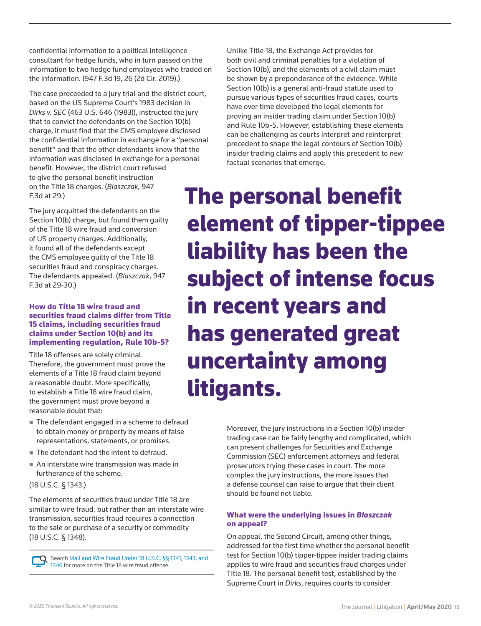confidential information to a political intelligence consultant for hedge funds, who in turn passed on the information to two hedge fund employees who traded on the information. (947 F.3d 19, 26 (2d Cir. 2019).)

The case proceeded to a jury trial and the district court, based on the US Supreme Court's 1983 decision in *Dirks v. SEC* (463 U.S. 646 (1983)), instructed the jury that to convict the defendants on the Section 10(b) charge, it must find that the CMS employee disclosed the confidential information in exchange for a "personal benefit" and that the other defendants knew that the information was disclosed in exchange for a personal benefit. However, the district court refused to give the personal benefit instruction on the Title 18 charges. (*Blaszczak*, 947 F.3d at 29.)

The jury acquitted the defendants on the Section 10(b) charge, but found them guilty of the Title 18 wire fraud and conversion of US property charges. Additionally, it found all of the defendants except the CMS employee guilty of the Title 18 securities fraud and conspiracy charges. The defendants appealed. (*Blaszczak*, 947 F.3d at 29-30.)

#### How do Title 18 wire fraud and securities fraud claims differ from Title 15 claims, including securities fraud claims under Section 10(b) and its implementing regulation, Rule 10b-5?

Title 18 offenses are solely criminal. Therefore, the government must prove the elements of a Title 18 fraud claim beyond a reasonable doubt. More specifically, to establish a Title 18 wire fraud claim, the government must prove beyond a reasonable doubt that:

- The defendant engaged in a scheme to defraud to obtain money or property by means of false representations, statements, or promises.
- The defendant had the intent to defraud.
- An interstate wire transmission was made in furtherance of the scheme.

(18 U.S.C. § 1343.)

The elements of securities fraud under Title 18 are similar to wire fraud, but rather than an interstate wire transmission, securities fraud requires a connection to the sale or purchase of a security or commodity (18 U.S.C. § 1348).

Search [Mail and Wire Fraud Under 18 U.S.C. §§ 1341, 1343, and](https://us.practicallaw.thomsonreuters.com/w-017-5124)  [1346](https://us.practicallaw.thomsonreuters.com/w-017-5124) for more on the Title 18 wire fraud offense.

Unlike Title 18, the Exchange Act provides for both civil and criminal penalties for a violation of Section 10(b), and the elements of a civil claim must be shown by a preponderance of the evidence. While Section 10(b) is a general anti-fraud statute used to pursue various types of securities fraud cases, courts have over time developed the legal elements for proving an insider trading claim under Section 10(b) and Rule 10b-5. However, establishing these elements can be challenging as courts interpret and reinterpret precedent to shape the legal contours of Section 10(b) insider trading claims and apply this precedent to new factual scenarios that emerge.

The personal benefit element of tipper-tippee liability has been the subject of intense focus in recent years and has generated great uncertainty among litigants.

> Moreover, the jury instructions in a Section 10(b) insider trading case can be fairly lengthy and complicated, which can present challenges for Securities and Exchange Commission (SEC) enforcement attorneys and federal prosecutors trying these cases in court. The more complex the jury instructions, the more issues that a defense counsel can raise to argue that their client should be found not liable.

# What were the underlying issues in *Blaszczak* on appeal?

On appeal, the Second Circuit, among other things, addressed for the first time whether the personal benefit test for Section 10(b) tipper-tippee insider trading claims applies to wire fraud and securities fraud charges under Title 18. The personal benefit test, established by the Supreme Court in *Dirks*, requires courts to consider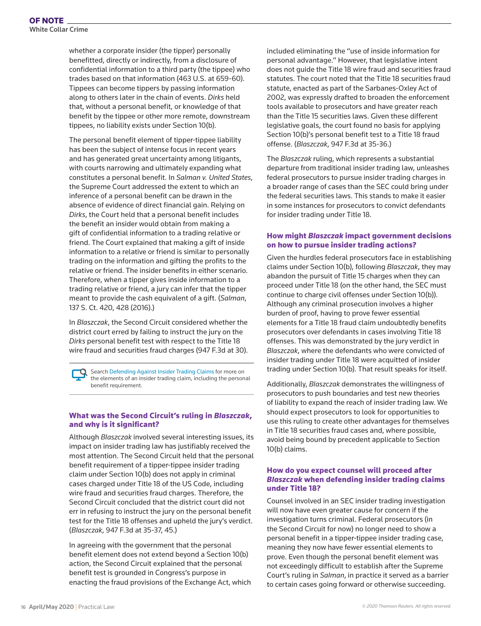whether a corporate insider (the tipper) personally benefitted, directly or indirectly, from a disclosure of confidential information to a third party (the tippee) who trades based on that information (463 U.S. at 659-60). Tippees can become tippers by passing information along to others later in the chain of events. *Dirks* held that, without a personal benefit, or knowledge of that benefit by the tippee or other more remote, downstream tippees, no liability exists under Section 10(b).

The personal benefit element of tipper-tippee liability has been the subject of intense focus in recent years and has generated great uncertainty among litigants, with courts narrowing and ultimately expanding what constitutes a personal benefit. In *Salman v. United States*, the Supreme Court addressed the extent to which an inference of a personal benefit can be drawn in the absence of evidence of direct financial gain. Relying on *Dirks*, the Court held that a personal benefit includes the benefit an insider would obtain from making a gift of confidential information to a trading relative or friend. The Court explained that making a gift of inside information to a relative or friend is similar to personally trading on the information and gifting the profits to the relative or friend. The insider benefits in either scenario. Therefore, when a tipper gives inside information to a trading relative or friend, a jury can infer that the tipper meant to provide the cash equivalent of a gift. (*Salman*, 137 S. Ct. 420, 428 (2016).)

In *Blaszczak*, the Second Circuit considered whether the district court erred by failing to instruct the jury on the *Dirks* personal benefit test with respect to the Title 18 wire fraud and securities fraud charges (947 F.3d at 30).

Search [Defending Against Insider Trading Claims](https://us.practicallaw.thomsonreuters.com/w-000-5992) for more on the elements of an insider trading claim, including the personal benefit requirement.

#### What was the Second Circuit's ruling in *Blaszczak*, and why is it significant?

Although *Blaszczak* involved several interesting issues, its impact on insider trading law has justifiably received the most attention. The Second Circuit held that the personal benefit requirement of a tipper-tippee insider trading claim under Section 10(b) does not apply in criminal cases charged under Title 18 of the US Code, including wire fraud and securities fraud charges. Therefore, the Second Circuit concluded that the district court did not err in refusing to instruct the jury on the personal benefit test for the Title 18 offenses and upheld the jury's verdict. (*Blaszczak*, 947 F.3d at 35-37, 45.)

In agreeing with the government that the personal benefit element does not extend beyond a Section 10(b) action, the Second Circuit explained that the personal benefit test is grounded in Congress's purpose in enacting the fraud provisions of the Exchange Act, which included eliminating the "use of inside information for personal advantage." However, that legislative intent does not guide the Title 18 wire fraud and securities fraud statutes. The court noted that the Title 18 securities fraud statute, enacted as part of the Sarbanes-Oxley Act of 2002, was expressly drafted to broaden the enforcement tools available to prosecutors and have greater reach than the Title 15 securities laws. Given these different legislative goals, the court found no basis for applying Section 10(b)'s personal benefit test to a Title 18 fraud offense. (*Blaszczak*, 947 F.3d at 35-36.)

The *Blaszczak* ruling, which represents a substantial departure from traditional insider trading law, unleashes federal prosecutors to pursue insider trading charges in a broader range of cases than the SEC could bring under the federal securities laws. This stands to make it easier in some instances for prosecutors to convict defendants for insider trading under Title 18.

## How might *Blaszczak* impact government decisions on how to pursue insider trading actions?

Given the hurdles federal prosecutors face in establishing claims under Section 10(b), following *Blaszczak*, they may abandon the pursuit of Title 15 charges when they can proceed under Title 18 (on the other hand, the SEC must continue to charge civil offenses under Section 10(b)). Although any criminal prosecution involves a higher burden of proof, having to prove fewer essential elements for a Title 18 fraud claim undoubtedly benefits prosecutors over defendants in cases involving Title 18 offenses. This was demonstrated by the jury verdict in *Blaszczak*, where the defendants who were convicted of insider trading under Title 18 were acquitted of insider trading under Section 10(b). That result speaks for itself.

Additionally, *Blaszczak* demonstrates the willingness of prosecutors to push boundaries and test new theories of liability to expand the reach of insider trading law. We should expect prosecutors to look for opportunities to use this ruling to create other advantages for themselves in Title 18 securities fraud cases and, where possible, avoid being bound by precedent applicable to Section 10(b) claims.

## How do you expect counsel will proceed after *Blaszczak* when defending insider trading claims under Title 18?

Counsel involved in an SEC insider trading investigation will now have even greater cause for concern if the investigation turns criminal. Federal prosecutors (in the Second Circuit for now) no longer need to show a personal benefit in a tipper-tippee insider trading case, meaning they now have fewer essential elements to prove. Even though the personal benefit element was not exceedingly difficult to establish after the Supreme Court's ruling in *Salman*, in practice it served as a barrier to certain cases going forward or otherwise succeeding.